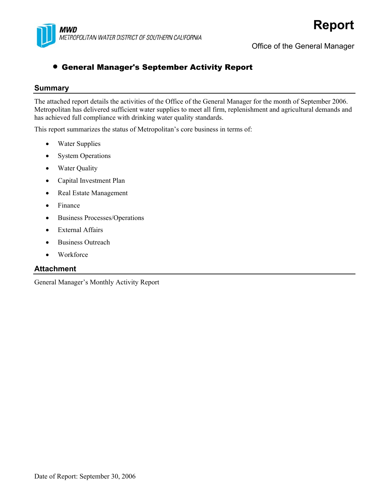

Office of the General Manager

### • General Manager's September Activity Report

#### **Summary**

The attached report details the activities of the Office of the General Manager for the month of September 2006. Metropolitan has delivered sufficient water supplies to meet all firm, replenishment and agricultural demands and has achieved full compliance with drinking water quality standards.

This report summarizes the status of Metropolitan's core business in terms of:

- Water Supplies
- **System Operations**
- Water Quality
- Capital Investment Plan
- Real Estate Management
- Finance
- Business Processes/Operations
- External Affairs
- Business Outreach
- Workforce

#### **Attachment**

General Manager's Monthly Activity Report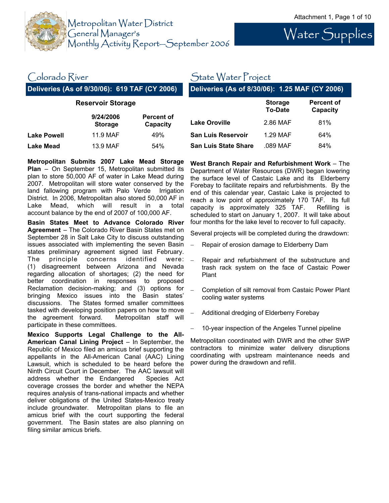

# Water Supplies

### Colorado River

**Deliveries (As of 9/30/06): 619 TAF (CY 2006)** 

### State Water Project

**Deliveries (As of 8/30/06): 1.25 MAF (CY 2006)** 

| <b>Reservoir Storage</b> |                             |                               |  |
|--------------------------|-----------------------------|-------------------------------|--|
|                          | 9/24/2006<br><b>Storage</b> | <b>Percent of</b><br>Capacity |  |
| <b>Lake Powell</b>       | 11.9 MAF                    | 49%                           |  |
| <b>Lake Mead</b>         | 13.9 MAF                    | 54%                           |  |

**Metropolitan Submits 2007 Lake Mead Storage Plan** – On September 15, Metropolitan submitted its plan to store 50,000 AF of water in Lake Mead during 2007. Metropolitan will store water conserved by the land fallowing program with Palo Verde Irrigation District. In 2006, Metropolitan also stored 50,000 AF in Lake Mead, which will result in a total account balance by the end of 2007 of 100,000 AF.

**Basin States Meet to Advance Colorado River Agreement** – The Colorado River Basin States met on September 28 in Salt Lake City to discuss outstanding issues associated with implementing the seven Basin states preliminary agreement signed last February. The principle concerns identified were: (1) disagreement between Arizona and Nevada regarding allocation of shortages; (2) the need for better coordination in responses to proposed Reclamation decision-making; and (3) options for bringing Mexico issues into the Basin states' discussions. The States formed smaller committees tasked with developing position papers on how to move the agreement forward. Metropolitan staff will participate in these committees.

**Mexico Supports Legal Challenge to the All-American Canal Lining Project** – In September, the Republic of Mexico filed an amicus brief supporting the appellants in the All-American Canal (AAC) Lining Lawsuit, which is scheduled to be heard before the Ninth Circuit Court in December. The AAC lawsuit will address whether the Endangered Species Act coverage crosses the border and whether the NEPA requires analysis of trans-national impacts and whether deliver obligations of the United States-Mexico treaty include groundwater. Metropolitan plans to file an amicus brief with the court supporting the federal government. The Basin states are also planning on filing similar amicus briefs.

|                             | <b>Storage</b><br><b>To-Date</b> | <b>Percent of</b><br>Capacity |
|-----------------------------|----------------------------------|-------------------------------|
| <b>Lake Oroville</b>        | 2.86 MAF                         | 81%                           |
| <b>San Luis Reservoir</b>   | 1.29 MAF                         | 64%                           |
| <b>San Luis State Share</b> | .089 MAF                         | 84%                           |

**West Branch Repair and Refurbishment Work** – The Department of Water Resources (DWR) began lowering the surface level of Castaic Lake and its Elderberry Forebay to facilitate repairs and refurbishments. By the end of this calendar year, Castaic Lake is projected to reach a low point of approximately 170 TAF. Its full capacity is approximately 325 TAF. Refilling is scheduled to start on January 1, 2007. It will take about four months for the lake level to recover to full capacity.

Several projects will be completed during the drawdown:

- − Repair of erosion damage to Elderberry Dam
- Repair and refurbishment of the substructure and trash rack system on the face of Castaic Power Plant
- − Completion of silt removal from Castaic Power Plant cooling water systems
- − Additional dredging of Elderberry Forebay
- 10-year inspection of the Angeles Tunnel pipeline

Metropolitan coordinated with DWR and the other SWP contractors to minimize water delivery disruptions coordinating with upstream maintenance needs and power during the drawdown and refill.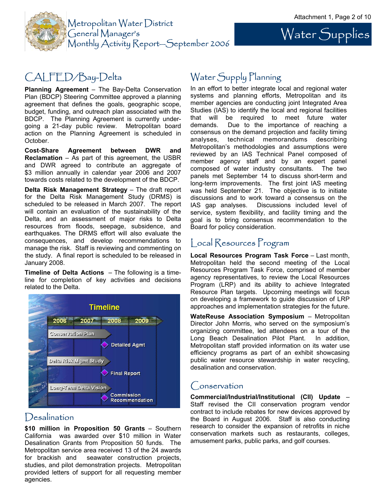Water Supplies



## CALFED/Bay-Delta

**Planning Agreement** – The Bay-Delta Conservation Plan (BDCP) Steering Committee approved a planning agreement that defines the goals, geographic scope, budget, funding, and outreach plan associated with the BDCP. The Planning Agreement is currently undergoing a 21-day public review. Metropolitan board action on the Planning Agreement is scheduled in October.

**Cost-Share Agreement between DWR and Reclamation** – As part of this agreement, the USBR and DWR agreed to contribute an aggregate of \$3 million annually in calendar year 2006 and 2007 towards costs related to the development of the BDCP.

**Delta Risk Management Strategy** – The draft report for the Delta Risk Management Study (DRMS) is scheduled to be released in March 2007. The report will contain an evaluation of the sustainability of the Delta, and an assessment of major risks to Delta resources from floods, seepage, subsidence, and earthquakes. The DRMS effort will also evaluate the consequences, and develop recommendations to manage the risk. Staff is reviewing and commenting on the study. A final report is scheduled to be released in January 2008.

**Timeline of Delta Actions** – The following is a timeline for completion of key activities and decisions related to the Delta.



### **Desalination**

**\$10 million in Proposition 50 Grants** – Southern California was awarded over \$10 million in Water Desalination Grants from Proposition 50 funds. The Metropolitan service area received 13 of the 24 awards for brackish and seawater construction projects, studies, and pilot demonstration projects. Metropolitan provided letters of support for all requesting member agencies.

## Water Supply Planning

In an effort to better integrate local and regional water systems and planning efforts, Metropolitan and its member agencies are conducting joint Integrated Area Studies (IAS) to identify the local and regional facilities that will be required to meet future water demands. Due to the importance of reaching a consensus on the demand projection and facility timing analyses, technical memorandums describing Metropolitan's methodologies and assumptions were reviewed by an IAS Technical Panel composed of member agency staff and by an expert panel composed of water industry consultants. The two panels met September 14 to discuss short-term and long-term improvements. The first joint IAS meeting was held September 21. The objective is to initiate discussions and to work toward a consensus on the IAS gap analyses. Discussions included level of service, system flexibility, and facility timing and the goal is to bring consensus recommendation to the Board for policy consideration.

### Local Resources Program

**Local Resources Program Task Force** – Last month, Metropolitan held the second meeting of the Local Resources Program Task Force, comprised of member agency representatives, to review the Local Resources Program (LRP) and its ability to achieve Integrated Resource Plan targets. Upcoming meetings will focus on developing a framework to guide discussion of LRP approaches and implementation strategies for the future.

**WateReuse Association Symposium** – Metropolitan Director John Morris, who served on the symposium's organizing committee, led attendees on a tour of the Long Beach Desalination Pilot Plant. In addition, Metropolitan staff provided information on its water use efficiency programs as part of an exhibit showcasing public water resource stewardship in water recycling, desalination and conservation.

### Conservation

**Commercial/Industrial/Institutional (CII) Update** – Staff revised the CII conservation program vendor contract to include rebates for new devices approved by the Board in August 2006. Staff is also conducting research to consider the expansion of retrofits in niche conservation markets such as restaurants, colleges, amusement parks, public parks, and golf courses.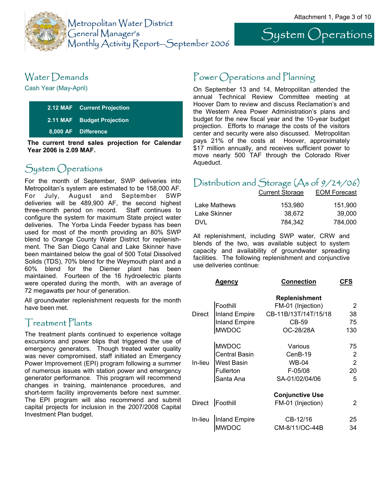System Operations



## Water Demands

Cash Year (May-April)

| 2.12 MAF Current Projection |
|-----------------------------|
| 2.11 MAF Budget Projection  |
| 8,000 AF Difference         |
|                             |

**The current trend sales projection for Calendar Year 2006 is 2.09 MAF.**

## System Operations

Metropolitan's system are estimated to be 158,000 AF. For July, August and September SWP deliveries will be 489,900 AF, the second highest three-month period on record. Staff continues to configure the system for maximum State project water deliveries. The Yorba Linda Feeder bypass has been used for most of the month providing an 80% SWP blend to Orange County Water District for replenishment. The San Diego Canal and Lake Skinner have been maintained below the goal of 500 Total Dissolved Solids (TDS), 70% blend for the Weymouth plant and a 60% blend for the Diemer plant has been maintained. Fourteen of the 16 hydroelectric plants were operated during the month, with an average of 72 megawatts per hour of generation.

All groundwater replenishment requests for the month have been met.

### Treatment Plants

The treatment plants continued to experience voltage excursions and power blips that triggered the use of emergency generators. Though treated water quality was never compromised, staff initiated an Emergency Power Improvement (EPI) program following a summer of numerous issues with station power and emergency generator performance. This program will recommend changes in training, maintenance procedures, and short-term facility improvements before next summer. The EPI program will also recommend and submit capital projects for inclusion in the 2007/2008 Capital Investment Plan budget.

### Power Operations and Planning

On September 13 and 14, Metropolitan attended the annual Technical Review Committee meeting at Hoover Dam to review and discuss Reclamation's and the Western Area Power Administration's plans and budget for the new fiscal year and the 10-year budget projection. Efforts to manage the costs of the visitors center and security were also discussed. Metropolitan pays 21% of the costs at Hoover, approximately \$17 million annually, and receives sufficient power to move nearly 500 TAF through the Colorado River Aqueduct.

## For the month of September, SWP deliveries into  $D$ istribution and Storage  $(A<sub>s</sub>$  of  $9/24/06)$

| <b>Current Storage</b> | <b>EOM Forecast</b> |
|------------------------|---------------------|
| 153.980                | 151.900             |
| 38.672                 | 39,000              |
| 784.342                | 784,000             |
|                        |                     |

All replenishment, including SWP water, CRW and blends of the two, was available subject to system capacity and availability of groundwater spreading facilities. The following replenishment and conjunctive use deliveries continue:

|         | Agency               | <b>Connection</b>      | <b>CFS</b>     |
|---------|----------------------|------------------------|----------------|
|         |                      | <b>Replenishment</b>   |                |
|         | Foothill             | FM-01 (Injection)      | 2              |
| Direct  | Inland Empire        | CB-11B/13T/14T/15/18   | 38             |
|         | <b>Inland Empire</b> | CB-59                  | 75             |
|         | <b>MWDOC</b>         | OC-28/28A              | 130            |
|         | <b>MWDOC</b>         | Various                | 75             |
|         | <b>Central Basin</b> | CenB-19                | $\overline{2}$ |
| In-lieu | <b>West Basin</b>    | WB-04                  | $\overline{2}$ |
|         | Fullerton            | F-05/08                | 20             |
|         | Santa Ana            | SA-01/02/04/06         | 5              |
|         |                      | <b>Conjunctive Use</b> |                |
|         | Direct Foothill      | FM-01 (Injection)      | 2              |
| In-lieu | Inland Empire        | CB-12/16               | 25             |
|         | <b>MWDOC</b>         | CM-8/11/OC-44B         | 34             |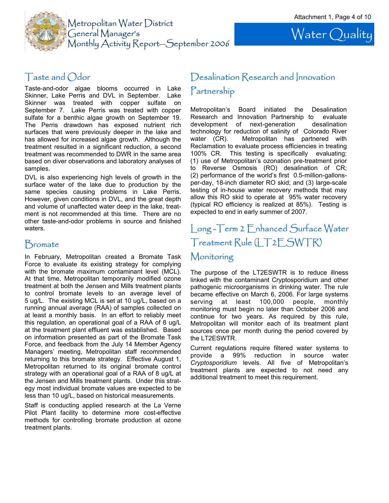

Water Quality

### Taste and Odor

Taste-and-odor algae blooms occurred in Lake Skinner, Lake Perris and DVL in September. Lake Skinner was treated with copper sulfate on September 7. Lake Perris was treated with copper sulfate for a benthic algae growth on September 19. The Perris drawdown has exposed nutrient rich surfaces that were previously deeper in the lake and has allowed for increased algae growth. Although the treatment resulted in a significant reduction, a second treatment was recommended to DWR in the same area based on diver observations and laboratory analyses of samples.

DVL is also experiencing high levels of growth in the surface water of the lake due to production by the same species causing problems in Lake Perris. However, given conditions in DVL, and the great depth and volume of unaffected water deep in the lake, treatment is not recommended at this time. There are no other taste-and-odor problems in source and finished waters.

### **Bromate**

In February, Metropolitan created a Bromate Task Force to evaluate its existing strategy for complying with the bromate maximum contaminant level (MCL). At that time, Metropolitan temporarily modified ozone treatment at both the Jensen and Mills treatment plants to control bromate levels to an average level of 5 ug/L. The existing MCL is set at 10 ug/L, based on a running annual average (RAA) of samples collected on at least a monthly basis. In an effort to reliably meet this regulation, an operational goal of a RAA of 8 ug/L at the treatment plant effluent was established. Based on information presented as part of the Bromate Task Force, and feedback from the July 14 Member Agency Managers' meeting, Metropolitan staff recommended returning to this bromate strategy. Effective August 1, Metropolitan returned to its original bromate control strategy with an operational goal of a RAA of 8 ug/L at the Jensen and Mills treatment plants. Under this strategy most individual bromate values are expected to be less than 10 ug/L, based on historical measurements.

Staff is conducting applied research at the La Verne Pilot Plant facility to determine more cost-effective methods for controlling bromate production at ozone treatment plants.

## Desalination Research and Innovation Partnership

Metropolitan's Board initiated the Desalination Research and Innovation Partnership to evaluate development of next-generation desalination technology for reduction of salinity of Colorado River water (CR). Metropolitan has partnered with Reclamation to evaluate process efficiencies in treating 100% CR. This testing is specifically evaluating: (1) use of Metropolitan's ozonation pre-treatment prior to Reverse Osmosis (RO) desalination of CR; (2) performance of the world's first 0.5-million-gallonsper-day, 18-inch diameter RO skid; and (3) large-scale testing of in-house water recovery methods that may allow this RO skid to operate at 95% water recovery (typical RO efficiency is realized at 85%). Testing is expected to end in early summer of 2007.

## Long -Term 2 Enhanced Surface Water Treatment Rule (LT2ESWTR)

### Monitoring

The purpose of the LT2ESWTR is to reduce illness linked with the contaminant Cryptosporidium and other pathogenic microorganisms in drinking water. The rule became effective on March 6, 2006. For large systems serving at least 100,000 people, monthly monitoring must begin no later than October 2006 and continue for two years. As required by this rule, Metropolitan will monitor each of its treatment plant sources once per month during the period covered by the LT2ESWTR.

Current regulations require filtered water systems to provide a 99% reduction in source water *Cryptosporidium* levels. All five of Metropolitan's treatment plants are expected to not need any additional treatment to meet this requirement.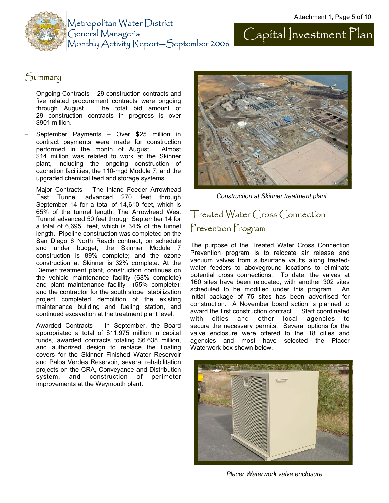

### **Summary**

- − Ongoing Contracts 29 construction contracts and five related procurement contracts were ongoing through August. The total bid amount of 29 construction contracts in progress is over \$901 million.
- − September Payments Over \$25 million in contract payments were made for construction performed in the month of August. Almost \$14 million was related to work at the Skinner plant, including the ongoing construction of ozonation facilities, the 110-mgd Module 7, and the upgraded chemical feed and storage systems.
- Major Contracts The Inland Feeder Arrowhead East Tunnel advanced 270 feet through September 14 for a total of 14,610 feet, which is 65% of the tunnel length. The Arrowhead West Tunnel advanced 50 feet through September 14 for a total of 6,695 feet, which is 34% of the tunnel length. Pipeline construction was completed on the San Diego 6 North Reach contract, on schedule and under budget; the Skinner Module 7 construction is 89% complete; and the ozone construction at Skinner is 32% complete. At the Diemer treatment plant, construction continues on the vehicle maintenance facility (68% complete) and plant maintenance facility (55% complete); and the contractor for the south slope stabilization project completed demolition of the existing maintenance building and fueling station, and continued excavation at the treatment plant level.
- − Awarded Contracts In September, the Board appropriated a total of \$11.975 million in capital funds, awarded contracts totaling \$6.638 million, and authorized design to replace the floating covers for the Skinner Finished Water Reservoir and Palos Verdes Reservoir, several rehabilitation projects on the CRA, Conveyance and Distribution system, and construction of perimeter improvements at the Weymouth plant.



*Construction at Skinner treatment plant* 

## Treated Water Cross Connection Prevention Program

The purpose of the Treated Water Cross Connection Prevention program is to relocate air release and vacuum valves from subsurface vaults along treatedwater feeders to aboveground locations to eliminate potential cross connections. To date, the valves at 160 sites have been relocated, with another 302 sites scheduled to be modified under this program. An initial package of 75 sites has been advertised for construction. A November board action is planned to award the first construction contract. Staff coordinated with cities and other local agencies to secure the necessary permits. Several options for the valve enclosure were offered to the 18 cities and agencies and most have selected the Placer Waterwork box shown below.



*Placer Waterwork valve enclosure*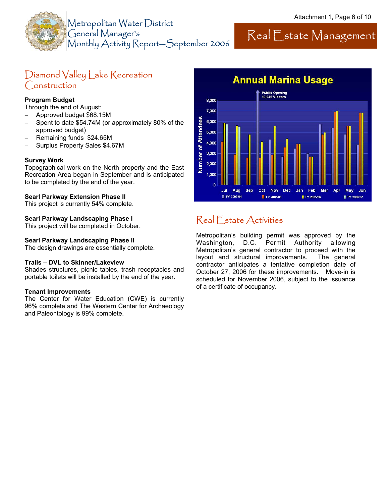

## Real Estate Management

### Diamond Valley Lake Recreation Construction

#### **Program Budget**

Through the end of August:

- − Approved budget \$68.15M
- − Spent to date \$54.74M (or approximately 80% of the approved budget)
- − Remaining funds \$24.65M
- − Surplus Property Sales \$4.67M

#### **Survey Work**

Topographical work on the North property and the East Recreation Area began in September and is anticipated to be completed by the end of the year.

#### **Searl Parkway Extension Phase II**

This project is currently 54% complete.

#### **Searl Parkway Landscaping Phase I**

This project will be completed in October.

#### **Searl Parkway Landscaping Phase II**

The design drawings are essentially complete.

#### **Trails – DVL to Skinner/Lakeview**

Shades structures, picnic tables, trash receptacles and portable toilets will be installed by the end of the year.

#### **Tenant Improvements**

The Center for Water Education (CWE) is currently 96% complete and The Western Center for Archaeology and Paleontology is 99% complete.



## Real Estate Activities

Metropolitan's building permit was approved by the Washington, D.C. Permit Authority allowing Metropolitan's general contractor to proceed with the layout and structural improvements. The general contractor anticipates a tentative completion date of October 27, 2006 for these improvements. Move-in is scheduled for November 2006, subject to the issuance of a certificate of occupancy.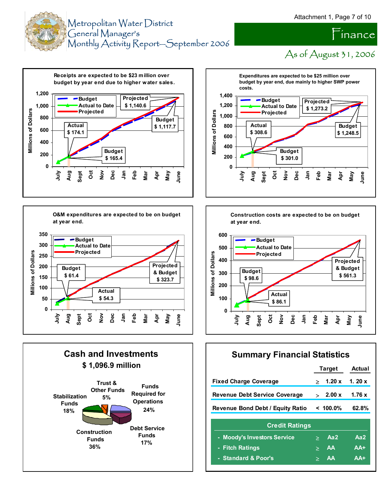



As of August 31, 2006

inance













### **Summary Financial Statistics**

|                                      | <b>Target</b> |             | <b>Actual</b> |  |
|--------------------------------------|---------------|-------------|---------------|--|
| <b>Fixed Charge Coverage</b>         |               | 1.20x       | 1. $20x$      |  |
| <b>Revenue Debt Service Coverage</b> |               | 2.00 x      | 1.76x         |  |
| Revenue Bond Debt / Equity Ratio     |               | $< 100.0\%$ | 62.8%         |  |
| <b>Credit Ratings</b>                |               |             |               |  |
| - Moody's Investors Service          | ≻             | Aa2         | Aa2           |  |
| <b>Fitch Ratings</b><br>٠            | $\geq$        | AA          | $AA+$         |  |
| - Standard & Poor's                  | ⋗             | AA          | $AA+$         |  |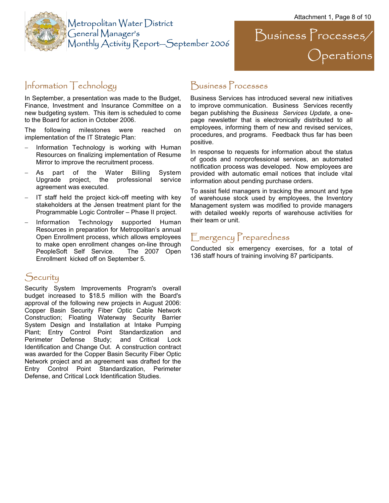Operations

 $\sum$ usiness  $\sum$ rocesses/



### Information Technology

In September, a presentation was made to the Budget, Finance, Investment and Insurance Committee on a new budgeting system. This item is scheduled to come to the Board for action in October 2006.

The following milestones were reached on implementation of the IT Strategic Plan:

- Information Technology is working with Human Resources on finalizing implementation of Resume Mirror to improve the recruitment process.
- As part of the Water Billing System Upgrade project, the professional service agreement was executed.
- − IT staff held the project kick-off meeting with key stakeholders at the Jensen treatment plant for the Programmable Logic Controller – Phase II project.
- Information Technology supported Human Resources in preparation for Metropolitan's annual Open Enrollment process, which allows employees to make open enrollment changes on-line through PeopleSoft Self Service. The 2007 Open Enrollment kicked off on September 5.

### **Security**

Security System Improvements Program's overall budget increased to \$18.5 million with the Board's approval of the following new projects in August 2006: Copper Basin Security Fiber Optic Cable Network Construction; Floating Waterway Security Barrier System Design and Installation at Intake Pumping Plant; Entry Control Point Standardization and Perimeter Defense Study; and Critical Lock Identification and Change Out. A construction contract was awarded for the Copper Basin Security Fiber Optic Network project and an agreement was drafted for the Entry Control Point Standardization, Perimeter Defense, and Critical Lock Identification Studies.

### Business Processes

Business Services has introduced several new initiatives to improve communication. Business Services recently began publishing the *Business Services Update*, a onepage newsletter that is electronically distributed to all employees, informing them of new and revised services, procedures, and programs. Feedback thus far has been positive.

In response to requests for information about the status of goods and nonprofessional services, an automated notification process was developed. Now employees are provided with automatic email notices that include vital information about pending purchase orders.

To assist field managers in tracking the amount and type of warehouse stock used by employees, the Inventory Management system was modified to provide managers with detailed weekly reports of warehouse activities for their team or unit.

### Emergency Preparedness

Conducted six emergency exercises, for a total of 136 staff hours of training involving 87 participants.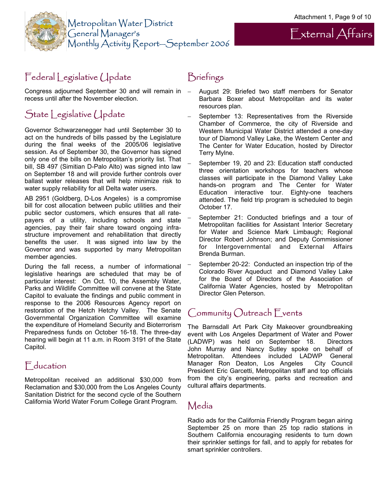External Affairs



## Federal Legislative Update

Congress adjourned September 30 and will remain in recess until after the November election.

## State Legislative Update

Governor Schwarzenegger had until September 30 to act on the hundreds of bills passed by the Legislature during the final weeks of the 2005/06 legislative session. As of September 30, the Governor has signed only one of the bills on Metropolitan's priority list. That bill, SB 497 (Simitian D-Palo Alto) was signed into law on September 18 and will provide further controls over ballast water releases that will help minimize risk to water supply reliability for all Delta water users.

AB 2951 (Goldberg, D-Los Angeles) is a compromise bill for cost allocation between public utilities and their public sector customers, which ensures that all ratepayers of a utility, including schools and state agencies, pay their fair share toward ongoing infrastructure improvement and rehabilitation that directly benefits the user. It was signed into law by the Governor and was supported by many Metropolitan member agencies.

During the fall recess, a number of informational legislative hearings are scheduled that may be of particular interest: On Oct. 10, the Assembly Water, Parks and Wildlife Committee will convene at the State Capitol to evaluate the findings and public comment in response to the 2006 Resources Agency report on restoration of the Hetch Hetchy Valley. The Senate Governmental Organization Committee will examine the expenditure of Homeland Security and Bioterrorism Preparedness funds on October 16-18. The three-day hearing will begin at 11 a.m. in Room 3191 of the State Capitol.

### **F**<sub>ducation</sub>

Metropolitan received an additional \$30,000 from Reclamation and \$30,000 from the Los Angeles County Sanitation District for the second cycle of the Southern California World Water Forum College Grant Program.

## Briefings

- − August 29: Briefed two staff members for Senator Barbara Boxer about Metropolitan and its water resources plan.
- September 13: Representatives from the Riverside Chamber of Commerce, the city of Riverside and Western Municipal Water District attended a one-day tour of Diamond Valley Lake, the Western Center and The Center for Water Education, hosted by Director Terry Mylne.
- − September 19, 20 and 23: Education staff conducted three orientation workshops for teachers whose classes will participate in the Diamond Valley Lake hands-on program and The Center for Water Education interactive tour. Eighty-one teachers attended. The field trip program is scheduled to begin October 17.
- September 21: Conducted briefings and a tour of Metropolitan facilities for Assistant Interior Secretary for Water and Science Mark Limbaugh; Regional Director Robert Johnson; and Deputy Commissioner for Intergovernmental and External Affairs Brenda Burman.
- September 20-22: Conducted an inspection trip of the Colorado River Aqueduct and Diamond Valley Lake for the Board of Directors of the Association of California Water Agencies, hosted by Metropolitan Director Glen Peterson.

## Community Outreach Events

The Barnsdall Art Park City Makeover groundbreaking event with Los Angeles Department of Water and Power (LADWP) was held on September 18. Directors John Murray and Nancy Sutley spoke on behalf of Metropolitan. Attendees included LADWP General Manager Ron Deaton, Los Angeles City Council President Eric Garcetti, Metropolitan staff and top officials from the city's engineering, parks and recreation and cultural affairs departments.

### Media

Radio ads for the California Friendly Program began airing September 25 on more than 25 top radio stations in Southern California encouraging residents to turn down their sprinkler settings for fall, and to apply for rebates for smart sprinkler controllers.